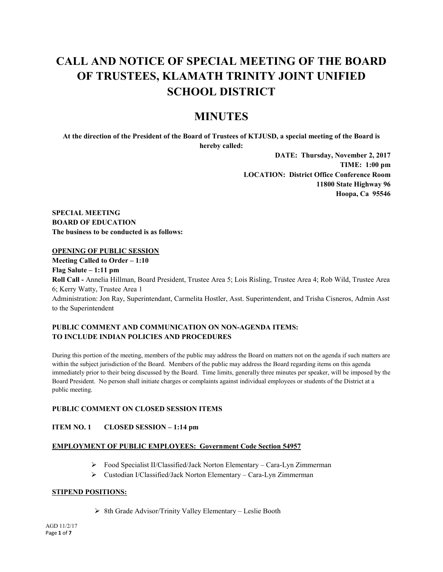# **CALL AND NOTICE OF SPECIAL MEETING OF THE BOARD OF TRUSTEES, KLAMATH TRINITY JOINT UNIFIED SCHOOL DISTRICT**

## **MINUTES**

**At the direction of the President of the Board of Trustees of KTJUSD, a special meeting of the Board is hereby called:**

> **DATE: Thursday, November 2, 2017 TIME: 1:00 pm LOCATION: District Office Conference Room 11800 State Highway 96 Hoopa, Ca 95546**

**SPECIAL MEETING BOARD OF EDUCATION The business to be conducted is as follows:**

#### **OPENING OF PUBLIC SESSION**

**Meeting Called to Order – 1:10 Flag Salute – 1:11 pm**

**Roll Call -** Annelia Hillman, Board President, Trustee Area 5; Lois Risling, Trustee Area 4; Rob Wild, Trustee Area 6; Kerry Watty, Trustee Area 1

Administration: Jon Ray, Superintendant, Carmelita Hostler, Asst. Superintendent, and Trisha Cisneros, Admin Asst to the Superintendent

#### **PUBLIC COMMENT AND COMMUNICATION ON NON-AGENDA ITEMS: TO INCLUDE INDIAN POLICIES AND PROCEDURES**

During this portion of the meeting, members of the public may address the Board on matters not on the agenda if such matters are within the subject jurisdiction of the Board. Members of the public may address the Board regarding items on this agenda immediately prior to their being discussed by the Board. Time limits, generally three minutes per speaker, will be imposed by the Board President. No person shall initiate charges or complaints against individual employees or students of the District at a public meeting.

#### **PUBLIC COMMENT ON CLOSED SESSION ITEMS**

#### **ITEM NO. 1 CLOSED SESSION – 1:14 pm**

#### **EMPLOYMENT OF PUBLIC EMPLOYEES: Government Code Section 54957**

- Food Specialist II/Classified/Jack Norton Elementary Cara-Lyn Zimmerman
- Custodian I/Classified/Jack Norton Elementary Cara-Lyn Zimmerman

#### **STIPEND POSITIONS:**

 $\triangleright$  8th Grade Advisor/Trinity Valley Elementary – Leslie Booth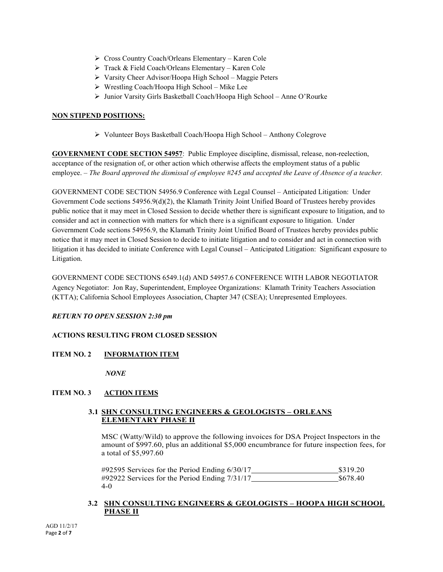- Cross Country Coach/Orleans Elementary Karen Cole
- Track & Field Coach/Orleans Elementary Karen Cole
- Varsity Cheer Advisor/Hoopa High School Maggie Peters
- Wrestling Coach/Hoopa High School Mike Lee
- Junior Varsity Girls Basketball Coach/Hoopa High School Anne O'Rourke

#### **NON STIPEND POSITIONS:**

Volunteer Boys Basketball Coach/Hoopa High School – Anthony Colegrove

**GOVERNMENT CODE SECTION 54957**: Public Employee discipline, dismissal, release, non-reelection, acceptance of the resignation of, or other action which otherwise affects the employment status of a public employee. – *The Board approved the dismissal of employee #245 and accepted the Leave of Absence of a teacher.*

GOVERNMENT CODE SECTION 54956.9 Conference with Legal Counsel – Anticipated Litigation: Under Government Code sections 54956.9(d)(2), the Klamath Trinity Joint Unified Board of Trustees hereby provides public notice that it may meet in Closed Session to decide whether there is significant exposure to litigation, and to consider and act in connection with matters for which there is a significant exposure to litigation. Under Government Code sections 54956.9, the Klamath Trinity Joint Unified Board of Trustees hereby provides public notice that it may meet in Closed Session to decide to initiate litigation and to consider and act in connection with litigation it has decided to initiate Conference with Legal Counsel – Anticipated Litigation: Significant exposure to Litigation.

GOVERNMENT CODE SECTIONS 6549.1(d) AND 54957.6 CONFERENCE WITH LABOR NEGOTIATOR Agency Negotiator: Jon Ray, Superintendent, Employee Organizations: Klamath Trinity Teachers Association (KTTA); California School Employees Association, Chapter 347 (CSEA); Unrepresented Employees.

#### *RETURN TO OPEN SESSION 2:30 pm*

## **ACTIONS RESULTING FROM CLOSED SESSION**

## **ITEM NO. 2 INFORMATION ITEM**

*NONE*

## **ITEM NO. 3 ACTION ITEMS**

#### **3.1 SHN CONSULTING ENGINEERS & GEOLOGISTS – ORLEANS ELEMENTARY PHASE II**

MSC (Watty/Wild) to approve the following invoices for DSA Project Inspectors in the amount of \$997.60, plus an additional \$5,000 encumbrance for future inspection fees, for a total of \$5,997.60

#92595 Services for the Period Ending 6/30/17 \$319.20 #92922 Services for the Period Ending 7/31/17 \$678.40 4-0

#### **3.2 SHN CONSULTING ENGINEERS & GEOLOGISTS – HOOPA HIGH SCHOOL PHASE II**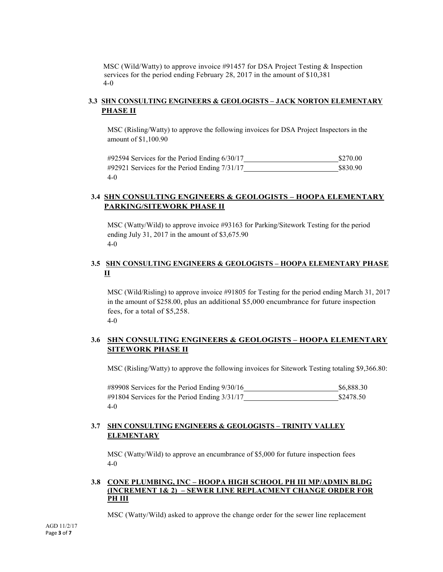MSC (Wild/Watty) to approve invoice #91457 for DSA Project Testing & Inspection services for the period ending February 28, 2017 in the amount of \$10,381 4-0

## **3.3 SHN CONSULTING ENGINEERS & GEOLOGISTS – JACK NORTON ELEMENTARY PHASE II**

MSC (Risling/Watty) to approve the following invoices for DSA Project Inspectors in the amount of \$1,100.90

| $\#92594$ Services for the Period Ending 6/30/17   | \$270.00 |
|----------------------------------------------------|----------|
| $\#92921$ Services for the Period Ending $7/31/17$ | \$830.90 |
| $4-0$                                              |          |

## **3.4 SHN CONSULTING ENGINEERS & GEOLOGISTS – HOOPA ELEMENTARY PARKING/SITEWORK PHASE II**

MSC (Watty/Wild) to approve invoice #93163 for Parking/Sitework Testing for the period ending July 31, 2017 in the amount of \$3,675.90 4-0

## **3.5 SHN CONSULTING ENGINEERS & GEOLOGISTS – HOOPA ELEMENTARY PHASE II**

MSC (Wild/Risling) to approve invoice #91805 for Testing for the period ending March 31, 2017 in the amount of \$258.00, plus an additional \$5,000 encumbrance for future inspection fees, for a total of \$5,258. 4-0

## **3.6 SHN CONSULTING ENGINEERS & GEOLOGISTS – HOOPA ELEMENTARY SITEWORK PHASE II**

MSC (Risling/Watty) to approve the following invoices for Sitework Testing totaling \$9,366.80:

#89908 Services for the Period Ending  $9/30/16$  \$6,888.30 #91804 Services for the Period Ending 3/31/17 \$2478.50 4-0

## **3.7 SHN CONSULTING ENGINEERS & GEOLOGISTS – TRINITY VALLEY ELEMENTARY**

MSC (Watty/Wild) to approve an encumbrance of \$5,000 for future inspection fees 4-0

#### **3.8 CONE PLUMBING, INC – HOOPA HIGH SCHOOL PH III MP/ADMIN BLDG (INCREMENT 1& 2) – SEWER LINE REPLACMENT CHANGE ORDER FOR PH III**

MSC (Watty/Wild) asked to approve the change order for the sewer line replacement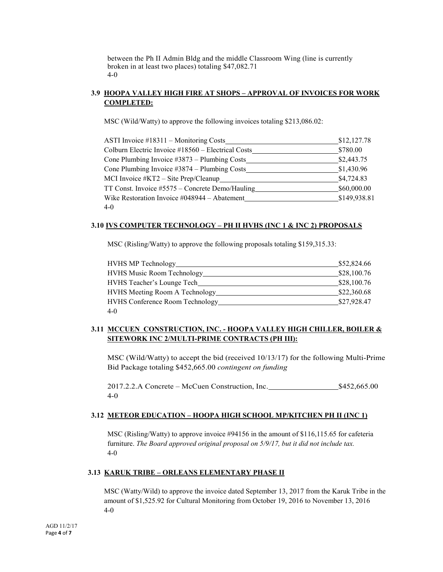between the Ph II Admin Bldg and the middle Classroom Wing (line is currently broken in at least two places) totaling \$47,082.71 4-0

## **3.9 HOOPA VALLEY HIGH FIRE AT SHOPS – APPROVAL OF INVOICES FOR WORK COMPLETED:**

MSC (Wild/Watty) to approve the following invoices totaling \$213,086.02:

| ASTI Invoice #18311 – Monitoring Costs             | \$12,127.78  |
|----------------------------------------------------|--------------|
| Colburn Electric Invoice #18560 – Electrical Costs | \$780.00     |
| Cone Plumbing Invoice #3873 - Plumbing Costs       | \$2,443.75   |
| Cone Plumbing Invoice $\#3874$ – Plumbing Costs    | \$1,430.96   |
| MCI Invoice $#KT2 - Site Prep/Clearup$             | \$4,724.83   |
| TT Const. Invoice #5575 – Concrete Demo/Hauling    | \$60,000.00  |
| Wike Restoration Invoice #048944 – Abatement       | \$149,938.81 |
| $4-0$                                              |              |

#### **3.10 IVS COMPUTER TECHNOLOGY – PH II HVHS (INC 1 & INC 2) PROPOSALS**

MSC (Risling/Watty) to approve the following proposals totaling \$159,315.33:

| <b>HVHS MP Technology</b>              | \$52,824.66 |
|----------------------------------------|-------------|
| HVHS Music Room Technology             | \$28,100.76 |
| <b>HVHS</b> Teacher's Lounge Tech      | \$28,100.76 |
| <b>HVHS</b> Meeting Room A Technology  | \$22,360.68 |
| <b>HVHS Conference Room Technology</b> | \$27,928.47 |
| $4 - 0$                                |             |

## **3.11 MCCUEN CONSTRUCTION, INC. - HOOPA VALLEY HIGH CHILLER, BOILER & SITEWORK INC 2/MULTI-PRIME CONTRACTS (PH III):**

MSC (Wild/Watty) to accept the bid (received 10/13/17) for the following Multi-Prime Bid Package totaling \$452,665.00 *contingent on funding*

2017.2.2.A Concrete – McCuen Construction, Inc. \$452,665.00 4-0

#### **3.12 METEOR EDUCATION – HOOPA HIGH SCHOOL MP/KITCHEN PH II (INC 1)**

MSC (Risling/Watty) to approve invoice #94156 in the amount of \$116,115.65 for cafeteria furniture. *The Board approved original proposal on 5/9/17, but it did not include tax.* 4-0

#### **3.13 KARUK TRIBE – ORLEANS ELEMENTARY PHASE II**

MSC (Watty/Wild) to approve the invoice dated September 13, 2017 from the Karuk Tribe in the amount of \$1,525.92 for Cultural Monitoring from October 19, 2016 to November 13, 2016 4-0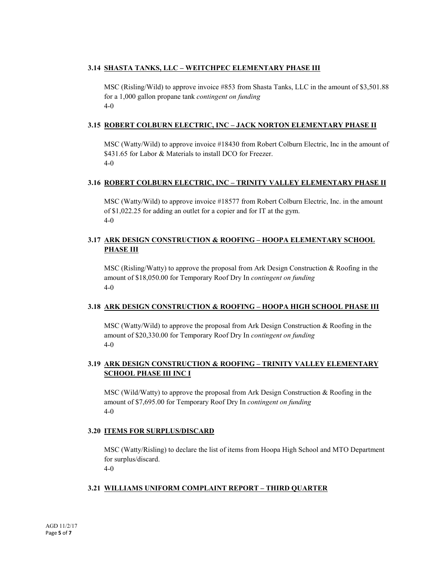### **3.14 SHASTA TANKS, LLC – WEITCHPEC ELEMENTARY PHASE III**

MSC (Risling/Wild) to approve invoice #853 from Shasta Tanks, LLC in the amount of \$3,501.88 for a 1,000 gallon propane tank *contingent on funding*  4-0

#### **3.15 ROBERT COLBURN ELECTRIC, INC – JACK NORTON ELEMENTARY PHASE II**

MSC (Watty/Wild) to approve invoice #18430 from Robert Colburn Electric, Inc in the amount of \$431.65 for Labor & Materials to install DCO for Freezer. 4-0

#### **3.16 ROBERT COLBURN ELECTRIC, INC – TRINITY VALLEY ELEMENTARY PHASE II**

MSC (Watty/Wild) to approve invoice #18577 from Robert Colburn Electric, Inc. in the amount of \$1,022.25 for adding an outlet for a copier and for IT at the gym. 4-0

## **3.17 ARK DESIGN CONSTRUCTION & ROOFING – HOOPA ELEMENTARY SCHOOL PHASE III**

MSC (Risling/Watty) to approve the proposal from Ark Design Construction & Roofing in the amount of \$18,050.00 for Temporary Roof Dry In *contingent on funding* 4-0

#### **3.18 ARK DESIGN CONSTRUCTION & ROOFING – HOOPA HIGH SCHOOL PHASE III**

MSC (Watty/Wild) to approve the proposal from Ark Design Construction  $\&$  Roofing in the amount of \$20,330.00 for Temporary Roof Dry In *contingent on funding* 4-0

## **3.19 ARK DESIGN CONSTRUCTION & ROOFING – TRINITY VALLEY ELEMENTARY SCHOOL PHASE III INC I**

MSC (Wild/Watty) to approve the proposal from Ark Design Construction & Roofing in the amount of \$7,695.00 for Temporary Roof Dry In *contingent on funding* 4-0

#### **3.20 ITEMS FOR SURPLUS/DISCARD**

MSC (Watty/Risling) to declare the list of items from Hoopa High School and MTO Department for surplus/discard.

4-0

## **3.21 WILLIAMS UNIFORM COMPLAINT REPORT – THIRD QUARTER**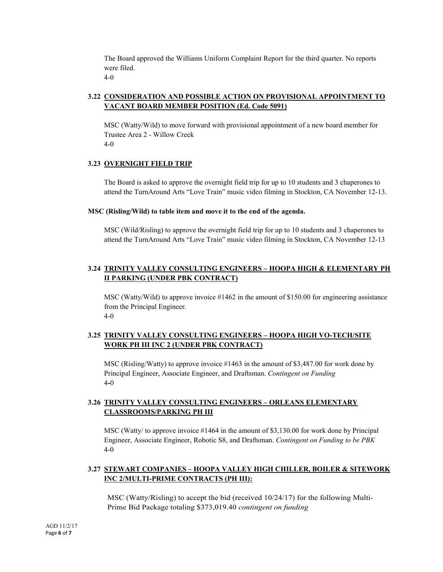The Board approved the Williams Uniform Complaint Report for the third quarter. No reports were filed.

4-0

## **3.22 CONSIDERATION AND POSSIBLE ACTION ON PROVISIONAL APPOINTMENT TO VACANT BOARD MEMBER POSITION (Ed. Code 5091)**

MSC (Watty/Wild) to move forward with provisional appointment of a new board member for Trustee Area 2 - Willow Creek 4-0

## **3.23 OVERNIGHT FIELD TRIP**

The Board is asked to approve the overnight field trip for up to 10 students and 3 chaperones to attend the TurnAround Arts "Love Train" music video filming in Stockton, CA November 12-13.

#### **MSC (Risling/Wild) to table item and move it to the end of the agenda.**

MSC (Wild/Risling) to approve the overnight field trip for up to 10 students and 3 chaperones to attend the TurnAround Arts "Love Train" music video filming in Stockton, CA November 12-13

## **3.24 TRINITY VALLEY CONSULTING ENGINEERS – HOOPA HIGH & ELEMENTARY PH II PARKING (UNDER PBK CONTRACT)**

MSC (Watty/Wild) to approve invoice #1462 in the amount of \$150.00 for engineering assistance from the Principal Engineer. 4-0

## **3.25 TRINITY VALLEY CONSULTING ENGINEERS – HOOPA HIGH VO-TECH/SITE WORK PH III INC 2 (UNDER PBK CONTRACT)**

MSC (Risling/Watty) to approve invoice #1463 in the amount of \$3,487.00 for work done by Principal Engineer, Associate Engineer, and Draftsman. *Contingent on Funding* 4**-**0

## **3.26 TRINITY VALLEY CONSULTING ENGINEERS – ORLEANS ELEMENTARY CLASSROOMS/PARKING PH III**

MSC (Watty/ to approve invoice #1464 in the amount of \$3,130.00 for work done by Principal Engineer, Associate Engineer, Robotic S8, and Draftsman. *Contingent on Funding to be PBK* 4-0

## **3.27 STEWART COMPANIES – HOOPA VALLEY HIGH CHILLER, BOILER & SITEWORK INC 2/MULTI-PRIME CONTRACTS (PH III):**

MSC (Watty/Risling) to accept the bid (received 10/24/17) for the following Multi-Prime Bid Package totaling \$373,019.40 *contingent on funding*